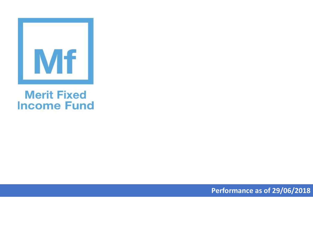

## **Merit Fixed Income Fund**

**Performance as of 29/06/2018**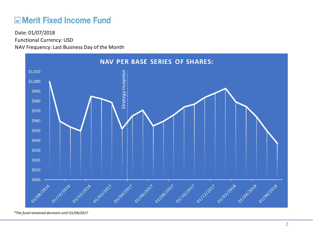## **ME Merit Fixed Income Fund**

Functional Currency: USD NAV Frequency: Last Business Day of the Month